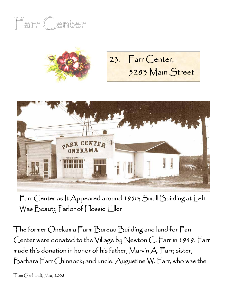





Farr Center as It Appeared around 1950; Small Building at Left Was Beauty Parlor of Flossie Eller

The former Onekama Farm Bureau Building and land for Farr Center were donated to the Village by Newton C. Farr in 1949. Farr made this donation in honor of his father, Marvin A. Farr; sister, Barbara Farr Chinnock; and uncle, Augustine W. Farr, who was the

Tom Gerhardt, May 2008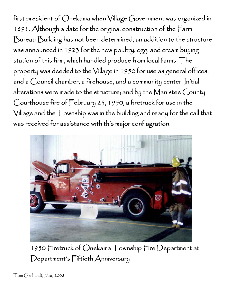first president of Onekama when Village Government was organized in 1891. Although a date for the original construction of the Farm Bureau Building has not been determined, an addition to the structure was announced in 1923 for the new poultry, egg, and cream buying station of this firm, which handled produce from local farms. The property was deeded to the Village in 1950 for use as general offices, and a Council chamber, a firehouse, and a community center. Initial alterations were made to the structure; and by the Manistee County Courthouse fire of February 23, 1950, a firetruck for use in the Village and the Township was in the building and ready for the call that was received for assistance with this major conflagration.



1950 Firetruck of Onekama Township Fire Department at Department's Fiftieth Anniversary